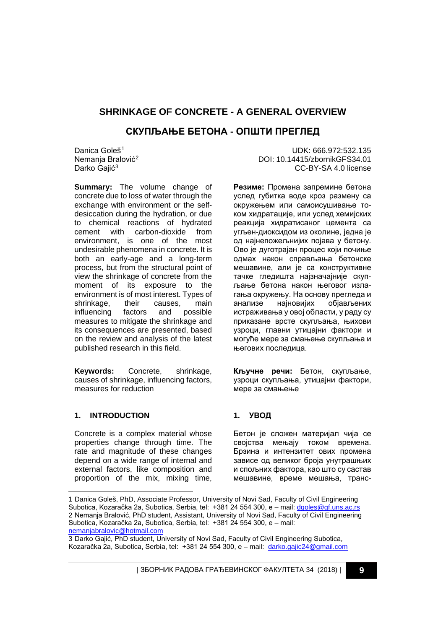# **SHRINKAGE OF CONCRETE - A GENERAL OVERVIEW**

# **СКУПЉАЊЕ БЕТОНА - ОПШТИ ПРЕГЛЕД**

Danica Goleš<sup>[1](#page-0-0)</sup> Nemanja Bralović<sup>[2](#page-0-1)</sup> Darko Gaiić<sup>[3](#page-0-2)</sup>

**Summary:** The volume change of concrete due to loss of water through the exchange with environment or the selfdesiccation during the hydration, or due to chemical reactions of hydrated<br>cement with carbon-dioxide from with carbon-dioxide from environment, is one of the most undesirable phenomena in concrete. It is both an early-age and a long-term process, but from the structural point of view the shrinkage of concrete from the moment of its exposure to the environment is of most interest. Types of shrinkage, their causes, main influencing factors and possible measures to mitigate the shrinkage and its consequences are presented, based on the review and analysis of the latest published research in this field.

**Keywords:** Concrete, shrinkage, causes of shrinkage, influencing factors, measures for reduction

#### UDK: 666.972:532.135 DOI: 10.14415/zbornikGFS34.01 CC-BY-SA 4.0 license

**Резиме:** Промена запремине бетона услед губитка воде кроз размену са окружењем или самоисушивање током хидратације, или услед хемијских реакција хидратисаног цемента са угљен-диоксидом из околине, једна је од најнепожељнијих појава у бетону. Ово је дуготрајан процес који почиње одмах након справљања бетонске мешавине, али је са конструктивне тачке гледишта најзначајније скупљање бетона након његовог излагања окружењу. На основу прегледа и анализе најновијих објављених истраживања у овој области, у раду су приказане врсте скупљања, њихови узроци, главни утицајни фактори и могуће мере за смањење скупљања и његових последица.

**Кључне речи:** Бетон, скупљање, узроци скупљања, утицајни фактори, мере за смањење

### **1. INTRODUCTION**

-

Concrete is a complex material whose properties change through time. The rate and magnitude of these changes depend on a wide range of internal and external factors, like composition and proportion of the mix, mixing time,

### **1. УВОД**

Бетон је сложен материјал чија се својства мењају током времена. Брзина и интензитет ових промена зависе од великог броја унутрашњих и спољних фактора, као што су састав мешавине, време мешања, транс-

<span id="page-0-1"></span><span id="page-0-0"></span><sup>1</sup> Danica Goleš, PhD, Associate Professor, University of Novi Sad, Faculty of Civil Engineering Subotica, Kozaračka 2a, Subotica, Serbia, tel: +381 24 554 300, e – mail: [dgoles@gf.uns.ac.rs](mailto:dgoles@gf.uns.ac.rs) 2 Nemanja Bralović, PhD student, Assistant, University of Novi Sad, Faculty of Civil Engineering Subotica, Kozaračka 2a, Subotica, Serbia, tel: +381 24 554 300, e – mail: nemanjabralovic@hotmail.com

<span id="page-0-2"></span><sup>3</sup> Darko Gajić, PhD student, University of Novi Sad, Faculty of Civil Engineering Subotica, Kozaračka 2a, Subotica, Serbia, tel: +381 24 554 300, e – mail: darko.gajic24@gmail.com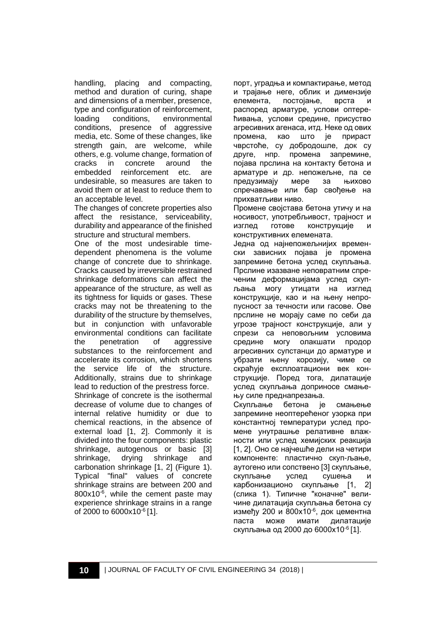handling, placing and compacting, method and duration of curing, shape and dimensions of a member, presence, type and configuration of reinforcement,<br>loading conditions, environmental loading conditions, environmental conditions, presence of aggressive media, etc. Some of these changes, like strength gain, are welcome, while others, e.g. volume change, formation of cracks in concrete<br>embedded reinforceme reinforcement etc. are undesirable, so measures are taken to avoid them or at least to reduce them to an acceptable level.

The changes of concrete properties also affect the resistance, serviceability, durability and appearance of the finished structure and structural members.

One of the most undesirable timedependent phenomena is the volume change of concrete due to shrinkage. Cracks caused by irreversible restrained shrinkage deformations can affect the appearance of the structure, as well as its tightness for liquids or gases. These cracks may not be threatening to the durability of the structure by themselves, but in conjunction with unfavorable environmental conditions can facilitate the penetration of aggressive substances to the reinforcement and accelerate its corrosion, which shortens the service life of the structure. Additionally, strains due to shrinkage lead to reduction of the prestress force. Shrinkage of concrete is the isothermal decrease of volume due to changes of internal relative humidity or due to chemical reactions, in the absence of external load [1, 2]. Commonly it is divided into the four components: plastic shrinkage, autogenous or basic [3] shrinkage, drying shrinkage and carbonation shrinkage [1, 2] (Figure 1). Typical "final" values of concrete shrinkage strains are between 200 and  $800x10^{-6}$ , while the cement paste may experience shrinkage strains in a range of 2000 to 6000x10-6 [1].

порт, уградња и компактирање, метод и трајање неге, облик и димензије елемента, постојање, врста и распоред арматуре, услови оптерећивања, услови средине, присуство агресивних агенаса, итд. Неке од ових промена, као што је прираст чврстоће, су добродошле, док су друге, нпр. промена запремине, појава прслина на контакту бетона и арматуре и др. непожељне, па се предузимају мере за њихово спречавање или бар свођење на прихватљиви ниво.

Промене својстава бетона утичу и на носивост, употребљивост, трајност и изглед готове конструкције и конструктивних елемената.

Једна од најнепожељнијих временски зависних појава је промена запремине бетона услед скупљања. Прслине изазване неповратним спреченим деформацијама услед скупљања могу утицати на изглед конструкције, као и на њену непропусност за течности или гасове. Ове прслине не морају саме по себи да угрозе трајност конструкције, али у спрези са неповољним условима средине могу олакшати продор агресивних супстанци до арматуре и убрзати њену корозију, чиме се скраћује експлоатациони век конструкције. Поред тога, дилатације услед скупљања доприносе смањењу силе преднапрезања.

Скупљање бетона је смањење запремине неоптерећеног узорка при константној температури услед промене унутрашње релативне влажности или услед хемијских реакција [1, 2]. Оно се најчешће дели на четири компоненте: пластично скуп-љање, аутогено или сопствено [3] скупљање, скупљање услед сушења и карбонизационо скупљање [1, 2] (слика 1). Типичне "коначне" величине дилатација скупљања бетона су између 200 и 800x10-6, док цементна паста може имати дилатације скупљања од 2000 до 6000x10-6 [1].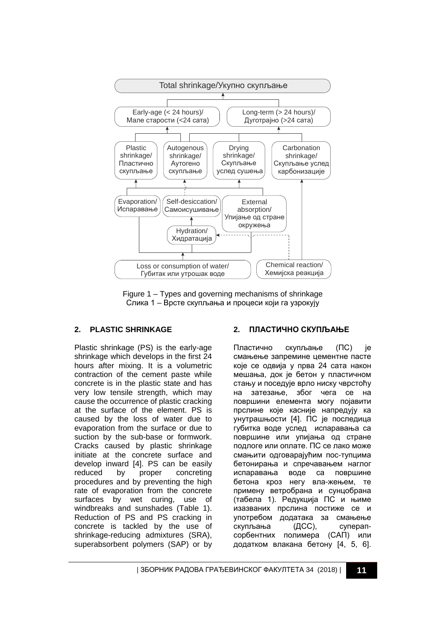

Figure 1 – Types and governing mechanisms of shrinkage Слика 1 – Врсте скупљања и процеси који га узрокују

### **2. PLASTIC SHRINKAGE**

Plastic shrinkage (PS) is the early-age shrinkage which develops in the first 24 hours after mixing. It is a volumetric contraction of the cement paste while concrete is in the plastic state and has very low tensile strength, which may cause the occurrence of plastic cracking at the surface of the element. PS is caused by the loss of water due to evaporation from the surface or due to suction by the sub-base or formwork. Cracks caused by plastic shrinkage initiate at the concrete surface and develop inward [4]. PS can be easily reduced by proper concreting procedures and by preventing the high rate of evaporation from the concrete surfaces by wet curing, use of windbreaks and sunshades (Table 1). Reduction of PS and PS cracking in concrete is tackled by the use of shrinkage-reducing admixtures (SRA), superabsorbent polymers (SAР) or by

#### **2. ПЛАСТИЧНО СКУПЉАЊЕ**

Пластично скупљање (ПС) је смањење запремине цементне пасте које се одвија у прва 24 сата након мешања, док је бетон у пластичном стању и поседује врло ниску чврстоћу на затезање, због чега се на површини елемента могу појавити прслине које касније напредују ка унутрашњости [4]. ПС је последица губитка воде услед испаравања са површине или упијања од стране подлоге или оплате. ПС се лако може смањити одговарајућим пос-тупцима бетонирања и спречавањем наглог испаравања воде са површине бетона кроз негу вла-жењем, те примену ветробрана и сунцобрана (табела 1). Редукција ПС и њиме изазваних прслина постиже се и употребом додатака за смањење скупљања (ДСС), суперапсорбентних полимера (САП) или додатком влакана бетону [4, 5, 6].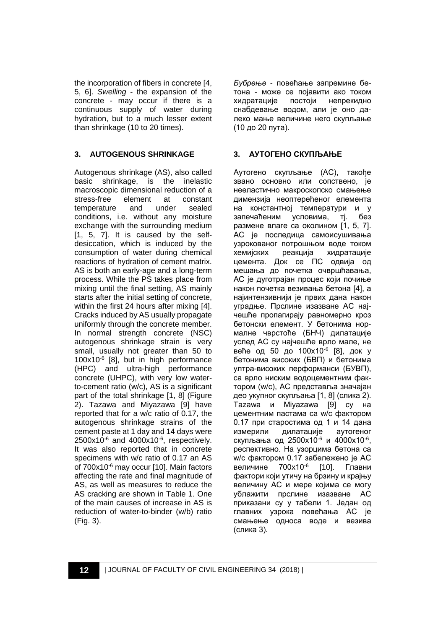the incorporation of fibers in concrete [4, 5, 6]. *Swelling* - the expansion of the concrete - may occur if there is a continuous supply of water during hydration, but to a much lesser extent than shrinkage (10 to 20 times).

### **3. AUTOGENOUS SHRINKAGE**

Autogenous shrinkage (AS), also called basic shrinkage, is the inelastic macroscopic dimensional reduction of a<br>stress-free element at constant stress-free element at constant<br>temperature and under sealed temperature conditions, i.e. without any moisture exchange with the surrounding medium [1, 5, 7]. It is caused by the selfdesiccation, which is induced by the consumption of water during chemical reactions of hydration of cement matrix. AS is both an early-age and a long-term process. While the PS takes place from mixing until the final setting, AS mainly starts after the initial setting of concrete, within the first 24 hours after mixing [4]. Cracks induced by AS usually propagate uniformly through the concrete member. In normal strength concrete (NSC) autogenous shrinkage strain is very small, usually not greater than 50 to 100x10-6 [8], but in high performance (HPC) and ultra-high performance concrete (UHPC), with very low waterto-cement ratio (w/c), AS is a significant part of the total shrinkage [1, 8] (Figure 2). Tazawa and Miyazawa [9] have reported that for a w/c ratio of 0.17, the autogenous shrinkage strains of the cement paste at 1 day and 14 days were  $2500x10^{-6}$  and  $4000x10^{-6}$ , respectively. It was also reported that in concrete specimens with w/c ratio of 0.17 an AS of 700x10-6 may occur [10]. Main factors affecting the rate and final magnitude of AS, as well as measures to reduce the AS cracking are shown in Table 1. One of the main causes of increase in AS is reduction of water-to-binder (w/b) ratio (Fig. 3).

*Бубрење* - повећање запремине бетона - може се појавити ако током хидратације постоји непрекидно снабдевање водом, али је оно далеко мање величине него скупљање (10 до 20 пута).

### **3. АУТОГЕНО СКУПЉАЊЕ**

Аутогено скупљање (АС), такође звано основно или сопствено, је нееластично макроскопско смањење димензија неоптерећеног елемента на константној температури и у запечаћеним условима, тј. без размене влаге са околином [1, 5, 7]. АС је последица самоисушивања узрокованог потрошњом воде током хемијских реакција хидратације цемента. Док се ПС одвија од мешања до почетка очвршћавања, АС је дуготрајан процес који почиње након почетка везивања бетона [4], а најинтензивнији је првих дана након уградње. Прслине изазване АС најчешће пропагирају равномерно кроз бетонски елемент. У бетонима нормалне чврстоће (БНЧ) дилатације услед АС су најчешће врло мале, не веће од 50 до 100x10-6 [8], док у бетонима високих (БВП) и бетонима ултра-високих перформанси (БУВП), са врло ниским водоцементним фактором (w/c), АС представља значајан део укупног скупљања [1, 8] (слика 2). Tazawa и Miyazawa [9] су на цементним пастама са w/c фактором 0.17 при старостима од 1 и 14 дана измерили дилатације аутогеног скупљања од 2500x10-6 и 4000x10-6, респективно. На узорцима бетона са w/c фактором 0.17 забележено је АС величине 700x10-6 [10]. Главни фактори који утичу на брзину и крајњу величину АС и мере којима се могу ублажити прслине изазване АС приказани су у табели 1. Један од главних узрока повећања АС је смањење односа воде и везива (слика 3).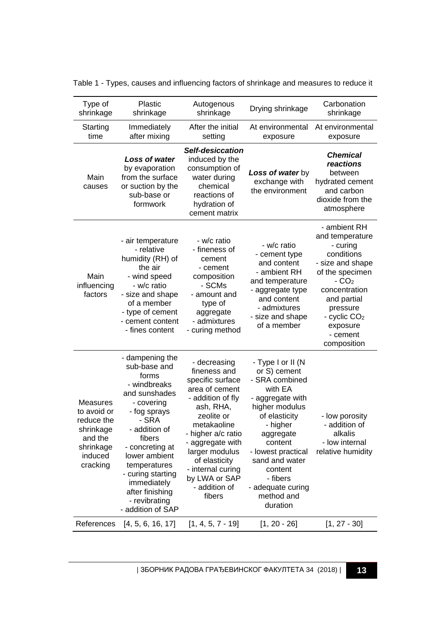| Type of<br>shrinkage                                                                              | Plastic<br>shrinkage                                                                                                                                                                                                                                                                         | Autogenous<br>shrinkage                                                                                                                                                                                                                                                         | Drying shrinkage                                                                                                                                                                                                                                                        | Carbonation<br>shrinkage                                                                                                                                                                                                  |
|---------------------------------------------------------------------------------------------------|----------------------------------------------------------------------------------------------------------------------------------------------------------------------------------------------------------------------------------------------------------------------------------------------|---------------------------------------------------------------------------------------------------------------------------------------------------------------------------------------------------------------------------------------------------------------------------------|-------------------------------------------------------------------------------------------------------------------------------------------------------------------------------------------------------------------------------------------------------------------------|---------------------------------------------------------------------------------------------------------------------------------------------------------------------------------------------------------------------------|
| Starting<br>time                                                                                  | Immediately<br>after mixing                                                                                                                                                                                                                                                                  | After the initial<br>setting                                                                                                                                                                                                                                                    | At environmental<br>exposure                                                                                                                                                                                                                                            | At environmental<br>exposure                                                                                                                                                                                              |
| Main<br>causes                                                                                    | <b>Loss of water</b><br>by evaporation<br>from the surface<br>or suction by the<br>sub-base or<br>formwork                                                                                                                                                                                   | Self-desiccation<br>induced by the<br>consumption of<br>water during<br>chemical<br>reactions of<br>hydration of<br>cement matrix                                                                                                                                               | <b>Loss of water by</b><br>exchange with<br>the environment                                                                                                                                                                                                             | <b>Chemical</b><br>reactions<br>between<br>hydrated cement<br>and carbon<br>dioxide from the<br>atmosphere                                                                                                                |
| Main<br>influencing<br>factors                                                                    | - air temperature<br>- relative<br>humidity (RH) of<br>the air<br>- wind speed<br>- w/c ratio<br>- size and shape<br>of a member<br>- type of cement<br>- cement content<br>- fines content                                                                                                  | - w/c ratio<br>- fineness of<br>cement<br>- cement<br>composition<br>- SCMs<br>- amount and<br>type of<br>aggregate<br>- admixtures<br>- curing method                                                                                                                          | - w/c ratio<br>- cement type<br>and content<br>- ambient RH<br>and temperature<br>- aggregate type<br>and content<br>- admixtures<br>- size and shape<br>of a member                                                                                                    | - ambient RH<br>and temperature<br>- curing<br>conditions<br>- size and shape<br>of the specimen<br>$-CO2$<br>concentration<br>and partial<br>pressure<br>- cyclic CO <sub>2</sub><br>exposure<br>- cement<br>composition |
| Measures<br>to avoid or<br>reduce the<br>shrinkage<br>and the<br>shrinkage<br>induced<br>cracking | - dampening the<br>sub-base and<br>forms<br>- windbreaks<br>and sunshades<br>- covering<br>- fog sprays<br>- SRA<br>- addition of<br>fibers<br>- concreting at<br>lower ambient<br>temperatures<br>- curing starting<br>immediately<br>after finishing<br>- revibrating<br>- addition of SAP | - decreasing<br>fineness and<br>specific surface<br>area of cement<br>- addition of fly<br>ash, RHA,<br>zeolite or<br>metakaoline<br>- higher a/c ratio<br>- aggregate with<br>larger modulus<br>of elasticity<br>- internal curing<br>by LWA or SAP<br>- addition of<br>fibers | - Type I or II (N<br>or S) cement<br>- SRA combined<br>with EA<br>- aggregate with<br>higher modulus<br>of elasticity<br>- higher<br>aggregate<br>content<br>- lowest practical<br>sand and water<br>content<br>- fibers<br>- adequate curing<br>method and<br>duration | - low porosity<br>- addition of<br>alkalis<br>- low internal<br>relative humidity                                                                                                                                         |
| References                                                                                        | [4, 5, 6, 16, 17]                                                                                                                                                                                                                                                                            | $[1, 4, 5, 7 - 19]$                                                                                                                                                                                                                                                             | $[1, 20 - 26]$                                                                                                                                                                                                                                                          | $[1, 27 - 30]$                                                                                                                                                                                                            |

Table 1 - Types, causes and influencing factors of shrinkage and measures to reduce it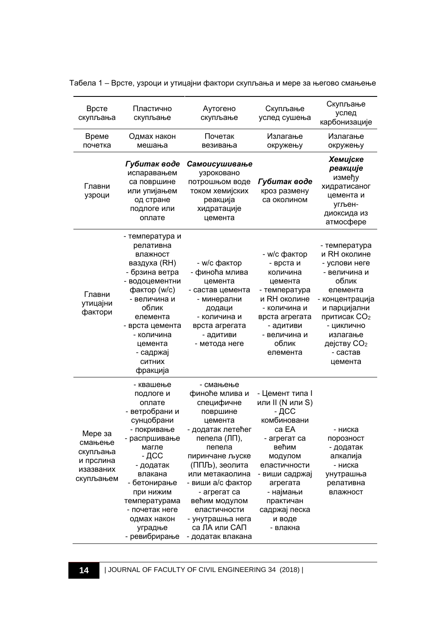| Врсте<br>скупљања                                                     | Пластично<br>скупљање                                                                                                                                                                                                                                 | Аутогено<br>скупљање                                                                                                                                                                                                                                                                                    | Скупљање<br>услед сушења                                                                                                                                                                                                | Скупљање<br>услед<br>карбонизације                                                                                                                                                                       |
|-----------------------------------------------------------------------|-------------------------------------------------------------------------------------------------------------------------------------------------------------------------------------------------------------------------------------------------------|---------------------------------------------------------------------------------------------------------------------------------------------------------------------------------------------------------------------------------------------------------------------------------------------------------|-------------------------------------------------------------------------------------------------------------------------------------------------------------------------------------------------------------------------|----------------------------------------------------------------------------------------------------------------------------------------------------------------------------------------------------------|
| Време<br>почетка                                                      | Одмах након<br>мешања                                                                                                                                                                                                                                 | Почетак<br>везивања                                                                                                                                                                                                                                                                                     | Излагање<br>окружењу                                                                                                                                                                                                    | Излагање<br>окружењу                                                                                                                                                                                     |
| Главни<br>узроци                                                      | Губитак воде<br>испаравањем<br>са површине<br>или упијањем<br>од стране<br>подлоге или<br>оплате                                                                                                                                                      | Самоисушивање<br>узроковано<br>потрошњом воде<br>током хемијских<br>реакција<br>хидратације<br>цемента                                                                                                                                                                                                  | Губитак воде<br>кроз размену<br>са околином                                                                                                                                                                             | Хемијске<br>реакције<br>између<br>хидратисаног<br>цемента и<br>угљен-<br>диоксида из<br>атмосфере                                                                                                        |
| Главни<br>утицајни<br>фактори                                         | - температура и<br>релативна<br>влажност<br>ваздуха (RH)<br>- брзина ветра<br>- водоцементни<br>фактор (w/c)<br>- величина и<br>облик<br>елемента<br>- врста цемента<br>- количина<br>цемента<br>- садржај<br>СИТНИХ<br>фракција                      | - w/с фактор<br>- финоћа млива<br>цемента<br>- састав цемента<br>- минерални<br>додаци<br>- количина и<br>врста агрегата<br>- адитиви<br>- метода неге                                                                                                                                                  | - w/с фактор<br>- врста и<br>количина<br>цемента<br>- температура<br>и RH околине<br>- количина и<br>врста агрегата<br>- адитиви<br>- величина и<br>облик<br>елемента                                                   | - температура<br>и RH околине<br>- услови неге<br>- величина и<br>облик<br>елемента<br>- концентрација<br>и парцијални<br>притисак СО2<br>- циклично<br>излагање<br>дејству $CO2$<br>- састав<br>цемента |
| Мере за<br>смањење<br>скупљања<br>и прслина<br>изазваних<br>скупљањем | - квашење<br>подлоге и<br>оплате<br>- ветробрани и<br>сунцобрани<br>- покривање<br>- распршивање<br>магле<br>- ДСС<br>- додатак<br>влакана<br>- бетонирање<br>при нижим<br>температурама<br>- почетак неге<br>одмах након<br>уградње<br>- ревибрирање | - смањење<br>финоће млива и<br>специфичне<br>површине<br>цемента<br>- додатак летећег<br>пепела (ЛП),<br>пепела<br>пиринчане љуске<br>(ППЉ), зеолита<br>или метакаолина<br>- виши а/с фактор<br>- агрегат са<br>већим модулом<br>еластичности<br>- унутрашња нега<br>са ЛА или САП<br>- додатак влакана | - Цемент типа I<br>или II (N или S)<br>- дсс<br>комбиновани<br>ca EA<br>- агрегат са<br>већим<br>модулом<br>еластичности<br>- виши садржај<br>агрегата<br>- најмањи<br>практичан<br>садржај песка<br>и воде<br>- влакна | - ниска<br>порозност<br>- додатак<br>алкалија<br>- ниска<br>унутрашња<br>релативна<br>влажност                                                                                                           |

Табела 1 – Врсте, узроци и утицајни фактори скупљања и мере за његово смањење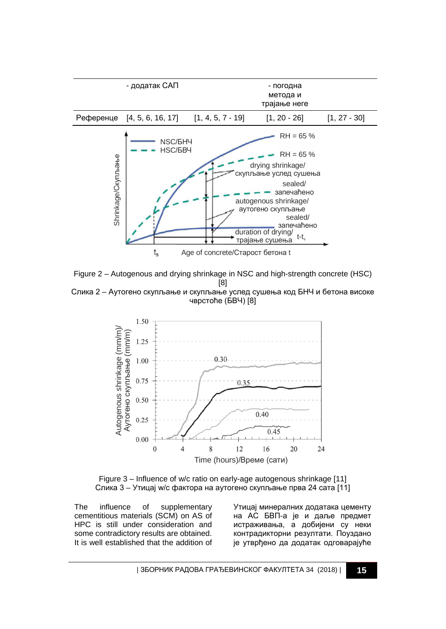

Figure 2 – Autogenous and drying shrinkage in NSC and high-strength concrete (HSC) [8] Слика 2 – Аутогено скупљање и скупљање услед сушења код БНЧ и бетона високе



Figure 3 – Influence of w/c ratio on early-age autogenous shrinkage [11] Слика 3 – Утицај w/c фактора на аутогено скупљање прва 24 сата [11]

The influence of supplementary cementitious materials (SCM) on AS of HPC is still under consideration and some contradictory results are obtained. It is well established that the addition of

Утицај минералних додатака цементу на АС БВП-а је и даље предмет истраживања, а добијени су неки контрадикторни резултати. Поуздано је утврђено да додатак одговарајуће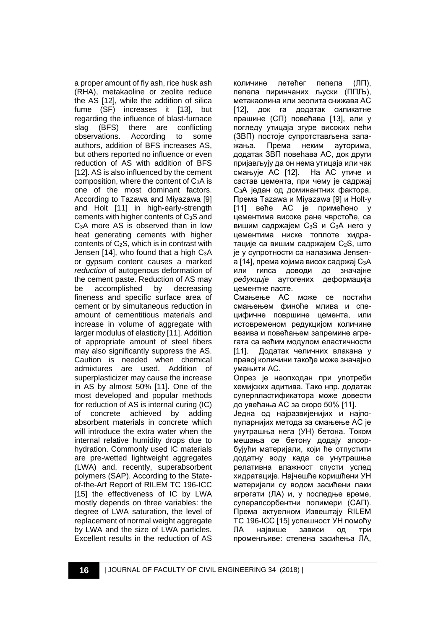a proper amount of fly ash, rice husk ash (RHA), metakaoline or zeolite reduce the AS [12], while the addition of silica fume (SF) increases it [13], but regarding the influence of blast-furnace slag (BFS) there are conflicting observations. According to some authors, addition of BFS increases AS, but others reported no influence or even reduction of AS with addition of BFS [12]. AS is also influenced by the cement composition, where the content of C3A is one of the most dominant factors. According to Tazawa and Miyazawa [9] and Holt [11] in high-early-strength cements with higher contents of  $C_3S$  and C3A more AS is observed than in low heat generating cements with higher contents of C2S, which is in contrast with Jensen  $[14]$ , who found that a high  $C_3A$ or gypsum content causes a marked *reduction* of autogenous deformation of the cement paste. Reduction of AS may be accomplished by decreasing fineness and specific surface area of cement or by simultaneous reduction in amount of cementitious materials and increase in volume of aggregate with larger modulus of elasticity [11]. Addition of appropriate amount of steel fibers may also significantly suppress the AS. Caution is needed when chemical admixtures are used. Addition of superplasticizer may cause the increase in AS by almost 50% [11]. One of the most developed and popular methods for reduction of AS is internal curing (IC) of concrete achieved by adding absorbent materials in concrete which will introduce the extra water when the internal relative humidity drops due to hydration. Commonly used IC materials are pre-wetted lightweight aggregates (LWA) and, recently, superabsorbent polymers (SAP). According to the Stateof-the-Art Report of RILEM TC 196-ICC [15] the effectiveness of IC by LWA mostly depends on three variables: the degree of LWA saturation, the level of replacement of normal weight aggregate by LWA and the size of LWA particles. Excellent results in the reduction of AS

количине летећег пепела (ЛП), пепела пиринчаних љуски (ППЉ), метакаолина или зеолита снижава АС [12], док га додатак силикатне прашине (СП) повећава [13], али у погледу утицаја згуре високих пећи (ЗВП) постоје супротстављена запажања. Према неким ауторима, додатак ЗВП повећава АС, док други пријављују да он нема утицаја или чак смањује АС [12]. На АС утиче и састав цемента, при чему је садржај C3A један од доминантних фактора. Према Tazawa и Miyazawa [9] и Holt-у [11] веће АС је примећено у цементима високе ране чврстоће, са вишим садржајем C3S и C3A него у цементима ниске топлоте хидратације са вишим садржајем C2S, што је у супротности са налазима Jensenа [14], према којима висок садржај C3A или гипса доводи до значајне *редукције* аутогених деформација цементне пасте.

Смањење АС може се постићи смањењем финоће млива и специфичне површине цемента, или истовременом редукцијом количине везива и повећањем запремине агрегата са већим модулом еластичности [11]. Додатак челичних влакана у правој количини такође може значајно умањити АС.

Опрез је неопходан при употреби хемијских адитива. Тако нпр. додатак суперпластификатора може довести до увећања АС за скоро 50% [11].

Једна од најразвијенијих и најпопуларнијих метода за смањење АС је унутрашња нега (УН) бетона. Током мешања се бетону додају апсорбујући материјали, који ће отпустити додатну воду када се унутрашња релативна влажност спусти услед хидратације. Најчешће коришћени УН материјали су водом засићени лаки агрегати (ЛА) и, у последње време, суперапсорбентни полимери (САП). Према актуелном Извештају RILEM TC 196-ICC [15] успешност УН помоћу ЛА највише зависи од три променљиве: степена засићења ЛА,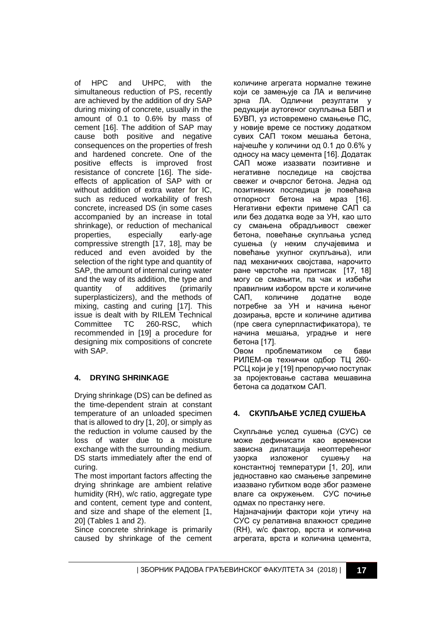of HPC and UHPC, with the simultaneous reduction of PS, recently are achieved by the addition of dry SAP during mixing of concrete, usually in the amount of 0.1 to 0.6% by mass of cement [16]. The addition of SAP may cause both positive and negative consequences on the properties of fresh and hardened concrete. One of the positive effects is improved frost resistance of concrete [16]. The sideeffects of application of SAP with or without addition of extra water for IC, such as reduced workability of fresh concrete, increased DS (in some cases accompanied by an increase in total shrinkage), or reduction of mechanical properties, especially early-age compressive strength [17, 18], may be reduced and even avoided by the selection of the right type and quantity of SAP, the amount of internal curing water and the way of its addition, the type and quantity of additives (primarily superplasticizers), and the methods of mixing, casting and curing [17]. This issue is dealt with by RILEM Technical Committee TC 260-RSC, which recommended in [19] a procedure for designing mix compositions of concrete with SAP.

# **4. DRYING SHRINKAGE**

Drying shrinkage (DS) can be defined as the time-dependent strain at constant temperature of an unloaded specimen that is allowed to dry [1, 20], or simply as the reduction in volume caused by the loss of water due to a moisture exchange with the surrounding medium. DS starts immediately after the end of curing.

The most important factors affecting the drying shrinkage are ambient relative humidity (RH), w/c ratio, aggregate type and content, cement type and content, and size and shape of the element [1, 20] (Tables 1 and 2).

Since concrete shrinkage is primarily caused by shrinkage of the cement количине агрегата нормалне тежине који се замењује са ЛА и величине зрна ЛА. Одлични резултати у редукцији аутогеног скупљања БВП и БУВП, уз истовремено смањење ПС, у новије време се постижу додатком сувих САП током мешања бетона, најчешће у количини од 0.1 до 0.6% у односу на масу цемента [16]. Додатак САП може изазвати позитивне и негативне последице на својства свежег и очврслог бетона. Једна од позитивних последица је повећана отпорност бетона на мраз [16]. Негативни ефекти примене САП са или без додатка воде за УН, као што су смањена обрадљивост свежег бетона, повећање скупљања услед сушења (у неким случајевима и повећање укупног скупљања), или пад механичких својстава, нарочито ране чврстоће на притисак [17, 18] могу се смањити, па чак и избећи правилним избором врсте и количине САП, количине додатне воде потребне за УН и начина њеног дозирања, врсте и количине адитива (пре свега суперпластификатора), те начина мешања, уградње и неге бетона [17].

Овом проблематиком се бави РИЛЕМ-ов технички одбор ТЦ 260- РСЦ који је у [19] препоручио поступак за пројектовање састава мешавина бетона са додатком САП.

# **4. СКУПЉАЊЕ УСЛЕД СУШЕЊА**

Скупљање услед сушења (СУС) се може дефинисати као временски зависна дилатација неоптерећеног узорка изложеног сушењу на константној температури [1, 20], или једноставно као смањење запремине изазвано губитком воде због размене влаге са окружењем. СУС почиње одмах по престанку неге.

Најзначајнији фактори који утичу на СУС су релативна влажност средине (RH), w/c фактор, врста и количина агрегата, врста и количина цемента,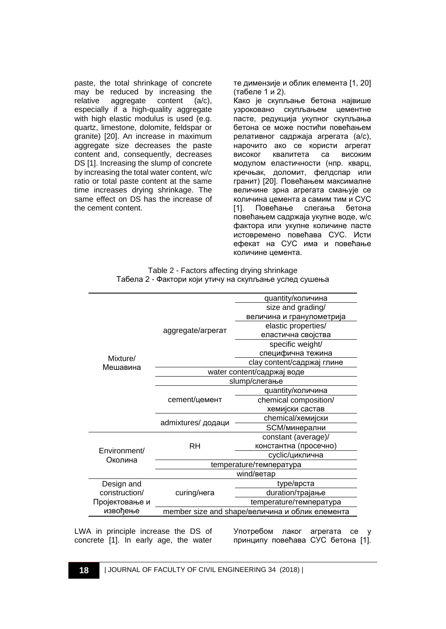paste, the total shrinkage of concrete may be reduced by increasing the relative aggregate content  $(a/c)$ .  $aq$ qqreqate content  $(a/c)$ , especially if a high-quality aggregate with high elastic modulus is used (e.g. quartz, limestone, dolomite, feldspar or granite) [20]. An increase in maximum aggregate size decreases the paste content and, consequently, decreases DS [1]. Increasing the slump of concrete by increasing the total water content, w/c ratio or total paste content at the same time increases drying shrinkage. The same effect on DS has the increase of the cement content.

те димензије и облик елемента [1, 20] (табеле 1 и 2).

Како је скупљање бетона највише узроковано скупљањем цементне пасте, редукција укупног скупљања бетона се може постићи повећањем релативног садржаја агрегата (a/c), нарочито ако се користи агрегат високог квалитета са високим модулом еластичности (нпр. кварц, кречњак, доломит, фелдспар или гранит) [20]. Повећањем максималне величине зрна агрегата смањује се количина цемента а самим тим и СУС<br>[1]. Повећање слегања бетона Повећање слегања повећањем садржаја укупне воде, w/c фактора или укупне количине пасте истовремено повећава СУС. Исти ефекат на СУС има и повећање количине цемента.

| Table 2 - Factors affecting drying shrinkage           |  |
|--------------------------------------------------------|--|
| Табела 2 - Фактори који утичу на скупљање услед сушења |  |

|                |                                                 | quantity/количина          |  |  |
|----------------|-------------------------------------------------|----------------------------|--|--|
|                |                                                 | size and grading/          |  |  |
|                |                                                 | величина и гранулометрија  |  |  |
|                | aggregate/arperat                               | elastic properties/        |  |  |
|                |                                                 | еластична својства         |  |  |
|                |                                                 | specific weight/           |  |  |
| Mixture/       |                                                 | специфична тежина          |  |  |
|                |                                                 | clay content/садржај глине |  |  |
| Мешавина       | water content/садржај воде                      |                            |  |  |
|                | slump/слегање                                   |                            |  |  |
|                |                                                 | quantity/количина          |  |  |
|                | cement/цемент                                   | chemical composition/      |  |  |
|                |                                                 | хемијски састав            |  |  |
|                | admixtures/ додаци                              | chemical/хемијски          |  |  |
|                |                                                 | SCM/минерални              |  |  |
|                |                                                 | constant (average)/        |  |  |
| Environment/   | RH                                              | константна (просечно)      |  |  |
| Околина        |                                                 | cyclic/циклична            |  |  |
|                | temperature/температура                         |                            |  |  |
|                | wind/ветар                                      |                            |  |  |
| Design and     |                                                 | type/врста                 |  |  |
| construction/  | curing/нега                                     | duration/трајање           |  |  |
| Пројектовање и |                                                 | temperature/температура    |  |  |
| извођење       | member size and shape/величина и облик елемента |                            |  |  |
|                |                                                 |                            |  |  |

LWA in principle increase the DS of concrete [1]. In early age, the water

Употребом лаког агрегата се у принципу повећава СУС бетона [1].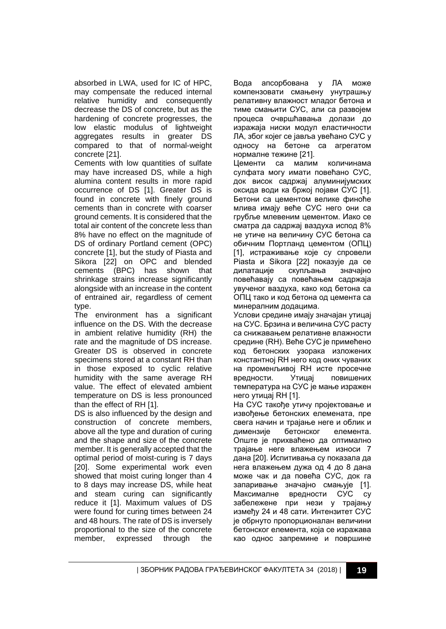absorbed in LWA, used for IC of HPC, may compensate the reduced internal relative humidity and consequently decrease the DS of concrete, but as the hardening of concrete progresses, the low elastic modulus of lightweight aggregates results in greater DS compared to that of normal-weight concrete [21].

Cements with low quantities of sulfate may have increased DS, while a high alumina content results in more rapid occurrence of DS [1]. Greater DS is found in concrete with finely ground cements than in concrete with coarser ground cements. It is considered that the total air content of the concrete less than 8% have no effect on the magnitude of DS of ordinary Portland cement (OPC) concrete [1], but the study of Piasta and Sikora [22] on OPC and blended cements (BPC) has shown that shrinkage strains increase significantly alongside with an increase in the content of entrained air, regardless of cement type.

The environment has a significant influence on the DS. With the decrease in ambient relative humidity (RH) the rate and the magnitude of DS increase. Greater DS is observed in concrete specimens stored at a constant RH than in those exposed to cyclic relative humidity with the same average RH value. The effect of elevated ambient temperature on DS is less pronounced than the effect of RH [1].

DS is also influenced by the design and construction of concrete members, above all the type and duration of curing and the shape and size of the concrete member. It is generally accepted that the optimal period of moist-curing is 7 days [20]. Some experimental work even showed that moist curing longer than 4 to 8 days may increase DS, while heat and steam curing can significantly reduce it [1]. Maximum values of DS were found for curing times between 24 and 48 hours. The rate of DS is inversely proportional to the size of the concrete member, expressed through the

Вода апсорбована у ЛА може компензовати смањену унутрашњу релативну влажност младог бетона и тиме смањити СУС, али са развојем процеса очвршћавања долази до изражаја ниски модул еластичности ЛА, због којег се јавља увећано СУС у односу на бетоне са агрегатом нормалне тежине [21].

Цементи са малим количинама сулфата могу имати повећано СУС, док висок садржај алуминијумских оксида води ка бржој појави СУС [1]. Бетони са цементом велике финоће млива имају веће СУС него они са грубље млевеним цементом. Иако се сматра да садржај ваздуха испод 8% не утиче на величину СУС бетона са обичним Портланд цементом (ОПЦ) [1], истраживање које су спровели Piasta и Sikora [22] показује да се дилатације скупљања значајно повећавају са повећањем садржаја увученог ваздуха, како код бетона са ОПЦ тако и код бетона од цемента са минералним додацима.

Услови средине имају значајан утицај на СУС. Брзина и величина СУС расту са снижавањем релативне влажности средине (RH). Веће СУС је примећено код бетонских узорака изложених константној RH него код оних чуваних на променљивој RH исте просечне вредности. Утицај повишених температура на СУС је мање изражен него утицај RH [1].

На СУС такође утичу пројектовање и извођење бетонских елемената, пре свега начин и трајање неге и облик и димензије бетонског елемента. Опште је прихваћено да оптимално трајање неге влажењем износи 7 дана [20]. Испитивања су показала да нега влажењем дужа од 4 до 8 дана може чак и да повећа СУС, док га запаривање значајно смањује [1]. Максималне вредности СУС су забележене при нези у трајању између 24 и 48 сати. Интензитет СУС је обрнуто пропорционалан величини бетонског елемента, која се изражава као однос запремине и површине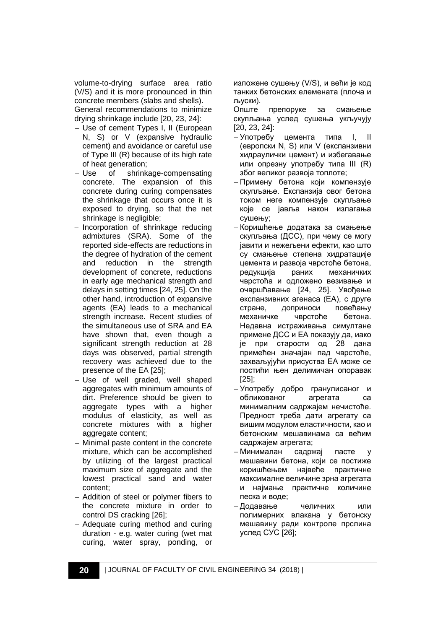volume-to-drying surface area ratio (V/S) and it is more pronounced in thin concrete members (slabs and shells).

General recommendations to minimize drying shrinkage include [20, 23, 24]:

- − Use of cement Types I, II (European N, S) or V (expansive hydraulic cement) and avoidance or careful use of Type III (R) because of its high rate of heat generation;
- − Use of shrinkage-compensating concrete. The expansion of this concrete during curing compensates the shrinkage that occurs once it is exposed to drying, so that the net shrinkage is negligible;
- − Incorporation of shrinkage reducing admixtures (SRA). Some of the reported side-effects are reductions in the degree of hydration of the cement and reduction in the strength development of concrete, reductions in early age mechanical strength and delays in setting times [24, 25]. On the other hand, introduction of expansive agents (EA) leads to a mechanical strength increase. Recent studies of the simultaneous use of SRA and EA have shown that, even though a significant strength reduction at 28 days was observed, partial strength recovery was achieved due to the presence of the EA [25];
- − Use of well graded, well shaped aggregates with minimum amounts of dirt. Preference should be given to aggregate types with a higher modulus of elasticity, as well as concrete mixtures with a higher aggregate content;
- − Minimal paste content in the concrete mixture, which can be accomplished by utilizing of the largest practical maximum size of aggregate and the lowest practical sand and water content;
- − Addition of steel or polymer fibers to the concrete mixture in order to control DS cracking [26];
- − Adequate curing method and curing duration - e.g. water curing (wet mat curing, water spray, ponding, or

изложене сушењу (V/S), и већи је код танких бетонских елемената (плоча и љуски).

Опште препоруке за смањење скупљања услед сушења укључују [20, 23, 24]:

- − Употребу цемента типа I, II (европски N, S) или V (експанзивни хидраулички цемент) и избегавање или опрезну употребу типа III (R) због великог развоја топлоте;
- − Примену бетона који компензује скупљање. Експанзија овог бетона током неге компензује скупљање које се јавља након излагања сушењу;
- − Коришћење додатака за смањење скупљања (ДСС), при чему се могу јавити и нежељени ефекти, као што су смањење степена хидратације цемента и развоја чврстоће бетона, редукција раних механичких чврстоћа и одложено везивање и очвршћавање [24, 25]. Увођење експанзивних агенаса (ЕА), с друге стране, доприноси повећању механичке чврстоће бетона. Недавна истраживања симултане примене ДСС и ЕА показују да, иако је при старости од 28 дана примећен значајан пад чврстоће, захваљујући присуства ЕА може се постићи њен делимичан опоравак [25];
- − Употребу добро гранулисаног и обликованог агрегата са минималним садржајем нечистоће. Предност треба дати агрегату са вишим модулом еластичности, као и бетонским мешавинама са већим садржајем агрегата;
- − Минималан садржај пасте у мешавини бетона, који се постиже коришћењем највеће практичне максималне величине зрна агрегата и најмање практичне количине песка и воде;
- − Додавање челичних или полимерних влакана у бетонску мешавину ради контроле прслина услед СУС [26];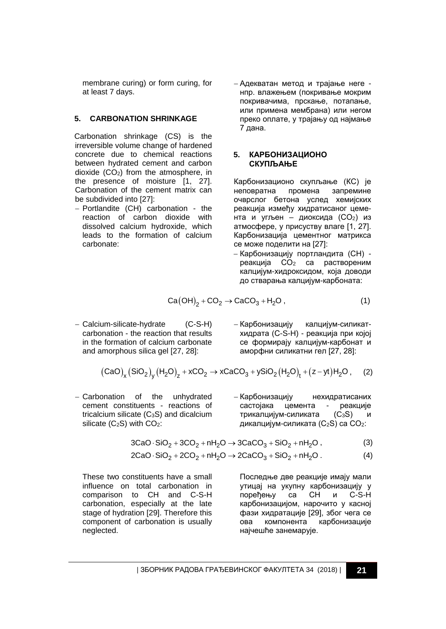membrane curing) or form curing, for at least 7 days.

#### **5. CARBONATION SHRINKAGE**

Carbonation shrinkage (CS) is the irreversible volume change of hardened concrete due to chemical reactions between hydrated cement and carbon dioxide  $(CO<sub>2</sub>)$  from the atmosphere, in the presence of moisture [1, 27]. Carbonation of the cement matrix can be subdivided into [27]:

− Portlandite (CH) carbonation - the reaction of carbon dioxide with dissolved calcium hydroxide, which leads to the formation of calcium carbonate:

− Адекватан метод и трајање неге нпр. влажењем (покривање мокрим покривачима, прскање, потапање, или примена мембрана) или негом преко оплате, у трајању од најмање 7 дана.

#### **5. КАРБОНИЗАЦИОНО СКУПЉАЊЕ**

Карбонизационо скупљање (КС) је промена запремине очврслог бетона услед хемијских реакција између хидратисаног цемента и угљен – диоксида (CO2) из атмосфере, у присуству влаге [1, 27]. Карбонизација цементног матрикса се може поделити на [27]:

− Карбонизацију портландита (CH) реакција CO<sup>2</sup> са раствореним калцијум-хидроксидом, која доводи до стварања калцијум-карбоната:

$$
Ca(OH)2 + CO2 \rightarrow CaCO3 + H2O , \qquad (1)
$$

− Calcium-silicate-hydrate (C-S-H) carbonation - the reaction that results in the formation of calcium carbonate and amorphous silica gel [27, 28]:

− Карбонизацију калцијум-силикатхидрата (C-S-H) - реакција при којој се формирају калцијум-карбонат и аморфни силикатни гел [27, 28]:

$$
\left(\text{CaO}\right)_{x}\left(\text{SiO}_2\right)_{y}\left(H_2\text{O}\right)_{z}+x\text{CO}_2\rightarrow x\text{CaCO}_3+y\text{SiO}_2\left(H_2\text{O}\right)_{t}+(z-yt)H_2\text{O}\,,\quad \ (2)
$$

- − Carbonation of the unhydrated cement constituents - reactions of tricalcium silicate  $(C_3S)$  and dicalcium silicate  $(C_2S)$  with  $CO_2$ :
- − Карбонизацију нехидратисаних састојака цемента - реакције трикалцијум-силиката (C<sub>3</sub>S) дикалцијум-силиката  $(C_2S)$  са  $CO_2$ :

$$
3CaO \cdot SiO_2 + 3CO_2 + nH_2O \rightarrow 3CaCO_3 + SiO_2 + nH_2O , \qquad (3)
$$

$$
2CaO \cdot SiO_2 + 2CO_2 + nH_2O \rightarrow 2CaCO_3 + SiO_2 + nH_2O. \tag{4}
$$

These two constituents have a small influence on total carbonation in comparison to CH and C-S-H carbonation, especially at the late stage of hydration [29]. Therefore this component of carbonation is usually neglected.

Последње две реакције имају мали утицај на укупну карбонизацију у поређењу са CH и C-S-H карбонизацијом, нарочито у касној фази хидратације [29], због чега се ова компонента карбонизације најчешће занемарује.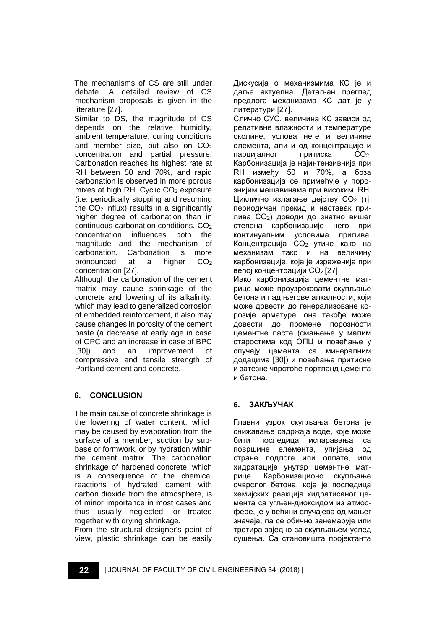The mechanisms of CS are still under debate. A detailed review of CS mechanism proposals is given in the literature [27].

Similar to DS, the magnitude of CS depends on the relative humidity, ambient temperature, curing conditions and member size, but also on  $CO<sub>2</sub>$ concentration and partial pressure. Carbonation reaches its highest rate at RH between 50 and 70%, and rapid carbonation is observed in more porous mixes at high RH. Cyclic  $CO<sub>2</sub>$  exposure (i.e. periodically stopping and resuming the  $CO<sub>2</sub>$  influx) results in a significantly higher degree of carbonation than in  $continuous$  carbonation conditions.  $CO<sub>2</sub>$ concentration influences both the magnitude and the mechanism of carbonation. Carbonation is more pronounced at a higher CO<sub>2</sub> concentration [27].

Although the carbonation of the cement matrix may cause shrinkage of the concrete and lowering of its alkalinity, which may lead to generalized corrosion of embedded reinforcement, it also may cause changes in porosity of the cement paste (a decrease at early age in case of OPC and an increase in case of BPC<br>[30]) and an improvement of [30]) and an improvement of compressive and tensile strength of Portland cement and concrete.

## **6. CONCLUSION**

The main cause of concrete shrinkage is the lowering of water content, which may be caused by evaporation from the surface of a member, suction by subbase or formwork, or by hydration within the cement matrix. The carbonation shrinkage of hardened concrete, which is a consequence of the chemical reactions of hydrated cement with carbon dioxide from the atmosphere, is of minor importance in most cases and thus usually neglected, or treated together with drying shrinkage.

From the structural designer's point of view, plastic shrinkage can be easily Дискусија о механизмима КС је и даље актуелна. Детаљан преглед предлога механизама КС дат је у литератури [27].

Слично СУС, величина КС зависи од релативне влажности и температуре околине, услова неге и величине елемента, али и од концентрације и парцијалног притиска CO2. Карбонизација је најинтензивнија при RH између 50 и 70%, а брза карбонизација се примећује у порознијим мешавинама при високим RH. Циклично излагање дејству CO<sup>2</sup> (тј. периодичан прекид и наставак прилива CO2) доводи до знатно вишег степена карбонизације него при континуалним условима прилива. Концентрација CO2 утиче како на механизам тако и на величину карбонизације, која је израженија при већој концентрацији CO<sub>2</sub> [27].

Иако карбонизација цементне матрице може проузроковати скупљање бетона и пад његове алкалности, који може довести до генерализоване корозије арматуре, она такође може довести до промене порозности цементне пасте (смањење у малим старостима код ОПЦ и повећање у случају цемента са минералним додацима [30]) и повећања притисне и затезне чврстоће портланд цемента и бетона.

## **6. ЗАКЉУЧАК**

Главни узрок скупљања бетона је снижавање садржаја воде, које може бити последица испаравања са површине елемента, упијања од стране подлоге или оплате, или хидратације унутар цементне матрице. Карбонизационо скупљање очврслог бетона, које је последица хемијских реакција хидратисаног цемента са угљен-диоксидом из атмосфере, је у већини случајева од мањег значаја, па се обично занемарује или третира заједно са скупљањем услед сушења. Са становишта пројектанта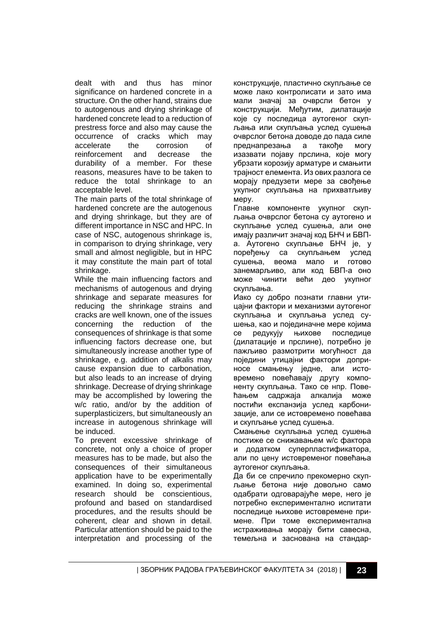dealt with and thus has minor significance on hardened concrete in a structure. On the other hand, strains due to autogenous and drying shrinkage of hardened concrete lead to a reduction of prestress force and also may cause the occurrence of cracks which may<br>accelerate the corrosion of accelerate the corrosion of reinforcement and decrease the durability of a member. For these reasons, measures have to be taken to reduce the total shrinkage to an acceptable level.

The main parts of the total shrinkage of hardened concrete are the autogenous and drying shrinkage, but they are of different importance in NSC and HPC. In case of NSC, autogenous shrinkage is, in comparison to drying shrinkage, very small and almost negligible, but in HPC it may constitute the main part of total shrinkage.

While the main influencing factors and mechanisms of autogenous and drying shrinkage and separate measures for reducing the shrinkage strains and cracks are well known, one of the issues concerning the reduction of the consequences of shrinkage is that some influencing factors decrease one, but simultaneously increase another type of shrinkage, e.g. addition of alkalis may cause expansion due to carbonation, but also leads to an increase of drying shrinkage. Decrease of drying shrinkage may be accomplished by lowering the w/c ratio, and/or by the addition of superplasticizers, but simultaneously an increase in autogenous shrinkage will be induced.

To prevent excessive shrinkage of concrete, not only a choice of proper measures has to be made, but also the consequences of their simultaneous application have to be experimentally examined. In doing so, experimental research should be conscientious, profound and based on standardised procedures, and the results should be coherent, clear and shown in detail. Particular attention should be paid to the interpretation and processing of the

конструкције, пластично скупљање се може лако контролисати и зато има мали значај за очврсли бетон у конструкцији. Међутим, дилатације које су последица аутогеног скупљања или скупљања услед сушења очврслог бетона доводе до пада силе преднапрезања а такође могу изазвати појаву прслина, које могу убрзати корозију арматуре и смањити трајност елемента. Из ових разлога се морају предузети мере за свођење укупног скупљања на прихватљиву меру.

Главне компоненте укупног скупљања очврслог бетона су аутогено и скупљање услед сушења, али оне имају различит значај код БНЧ и БВПа. Аутогено скупљање БНЧ је, у поређењу са скупљањем услед сушења, веома мало и готово занемарљиво, али код БВП-а оно може чинити већи део укупног скупљања.

Иако су добро познати главни утицајни фактори и механизми аутогеног скупљања и скупљања услед сушења, као и појединачне мере којима се редукују њихове последице (дилатације и прслине), потребно је пажљиво размотрити могућност да поједини утицајни фактори доприносе смањењу једне, али истовремено повећавају другу компоненту скупљања. Тако се нпр. Повећањем садржаја алкалија може постићи експанзија услед карбонизације, али се истовремено повећава и скупљање услед сушења.

Смањење скупљања услед сушења постиже се снижавањем w/c фактора и додатком суперпластификатора, али по цену истовременог повећања аутогеног скупљања.

Да би се спречило прекомерно скупљање бетона није довољно само одабрати одговарајуће мере, него је потребно експериментално испитати последице њихове истовремене примене. При томе експериментална истраживања морају бити савесна, темељна и заснована на стандар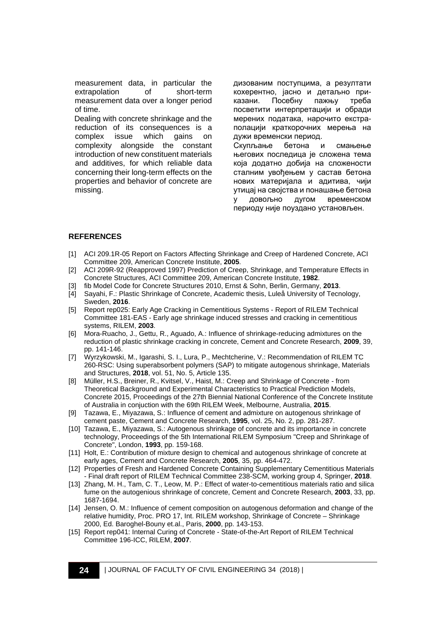measurement data, in particular the extrapolation of short-term measurement data over a longer period of time.

Dealing with concrete shrinkage and the reduction of its consequences is a<br>complex issue which gains on complex issue which gains on complexity alongside the constant introduction of new constituent materials and additives, for which reliable data concerning their long-term effects on the properties and behavior of concrete are missing.

дизованим поступцима, а резултати кохерентно, јасно и детаљно приказани. Посебну пажњу треба посветити интерпретацији и обради мерених података, нарочито екстраполацији краткорочних мерења на дужи временски период. Скупљање бетона и смањење његових последица је сложена тема која додатно добија на сложености сталним увођењем у састав бетона нових материјала и адитива, чији утицај на својства и понашање бетона у довољно дугом временском периоду није поуздано установљен.

#### **REFERENCES**

- [1] ACI 209.1R-05 Report on Factors Affecting Shrinkage and Creep of Hardened Concrete, ACI Committee 209, American Concrete Institute, **2005**.
- [2] ACI 209R-92 (Reapproved 1997) Prediction of Creep, Shrinkage, and Temperature Effects in Concrete Structures, ACI Committee 209, American Concrete Institute, **1982**.
- [3] fib Model Code for Concrete Structures 2010, Ernst & Sohn, Berlin, Germany, **2013**.
- [4] Sayahi, F.: Plastic Shrinkage of Concrete, Academic thesis, Luleå University of Tecnology, Sweden, **2016**.
- [5] Report rep025: Early Age Cracking in Cementitious Systems Report of RILEM Technical Committee 181-EAS - Early age shrinkage induced stresses and cracking in cementitious systems, RILEM, **2003**.
- [6] Mora-Ruacho, J., Gettu, R., Aguado, A.: Influence of shrinkage-reducing admixtures on the reduction of plastic shrinkage cracking in concrete, Cement and Concrete Research, **2009**, 39, pp. 141-146.
- [7] Wyrzykowski, M., Igarashi, S. I., Lura, P., Mechtcherine, V.: Recommendation of RILEM TC 260-RSC: Using superabsorbent polymers (SAP) to mitigate autogenous shrinkage, Materials and Structures, **2018**, vol. 51, No. 5, Article 135.
- [8] Müller, H.S., Breiner, R., Kvitsel, V., Haist, M.: Creep and Shrinkage of Concrete from Theoretical Background and Experimental Characteristics to Practical Prediction Models, Concrete 2015, Proceedings of the 27th Biennial National Conference of the Concrete Institute of Australia in conjuction with the 69th RILEM Week, Melbourne, Australia, **2015**.
- [9] Tazawa, E., Miyazawa, S.: Influence of cement and admixture on autogenous shrinkage of cement paste, Cement and Concrete Research, **1995**, vol. 25, No. 2, pp. 281-287.
- [10] Tazawa, E., Miyazawa, S.: Autogenous shrinkage of concrete and its importance in concrete technology, Proceedings of the 5th International RILEM Symposium "Creep and Shrinkage of Concrete", London, **1993**, pp. 159-168.
- [11] Holt, E.: Contribution of mixture design to chemical and autogenous shrinkage of concrete at early ages, Cement and Concrete Research, **2005**, 35, pp. 464-472.
- [12] Properties of Fresh and Hardened Concrete Containing Supplementary Cementitious Materials - Final draft report of RILEM Technical Committee 238-SCM, working group 4, Springer, **2018**.
- [13] Zhang, M. H., Tam, C. T., Leow, M. P.: Effect of water-to-cementitious materials ratio and silica fume on the autogenious shrinkage of concrete, Cement and Concrete Research, **2003**, 33, pp. 1687-1694.
- [14] Jensen, O. M.: Influence of cement composition on autogenous deformation and change of the relative humidity, Proc. PRO 17, Int. RILEM workshop, Shrinkage of Concrete – Shrinkage 2000, Ed. Baroghel-Bouny et.al., Paris, **2000**, pp. 143-153.
- [15] Report rep041: Internal Curing of Concrete State-of-the-Art Report of RILEM Technical Committee 196-ICC, RILEM, **2007**.